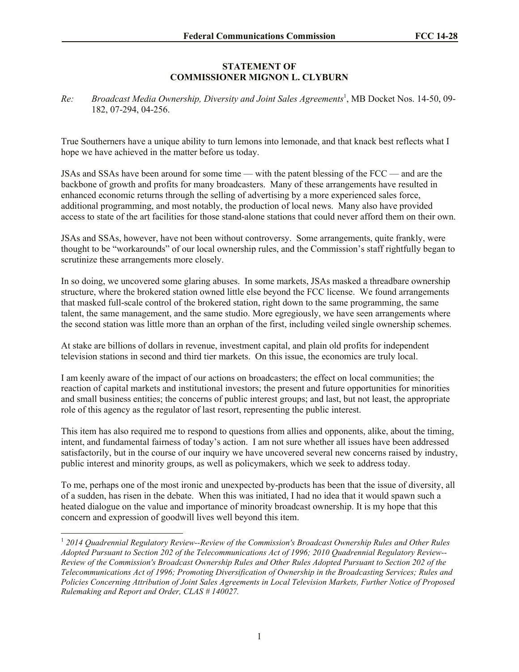## **STATEMENT OF COMMISSIONER MIGNON L. CLYBURN**

*Re: Broadcast Media Ownership, Diversity and Joint Sales Agreements* 1 , MB Docket Nos. 14-50, 09- 182, 07-294, 04-256.

True Southerners have a unique ability to turn lemons into lemonade, and that knack best reflects what I hope we have achieved in the matter before us today.

JSAs and SSAs have been around for some time — with the patent blessing of the FCC — and are the backbone of growth and profits for many broadcasters. Many of these arrangements have resulted in enhanced economic returns through the selling of advertising by a more experienced sales force, additional programming, and most notably, the production of local news. Many also have provided access to state of the art facilities for those stand-alone stations that could never afford them on their own.

JSAs and SSAs, however, have not been without controversy. Some arrangements, quite frankly, were thought to be "workarounds" of our local ownership rules, and the Commission's staff rightfully began to scrutinize these arrangements more closely.

In so doing, we uncovered some glaring abuses. In some markets, JSAs masked a threadbare ownership structure, where the brokered station owned little else beyond the FCC license. We found arrangements that masked full-scale control of the brokered station, right down to the same programming, the same talent, the same management, and the same studio. More egregiously, we have seen arrangements where the second station was little more than an orphan of the first, including veiled single ownership schemes.

At stake are billions of dollars in revenue, investment capital, and plain old profits for independent television stations in second and third tier markets. On this issue, the economics are truly local.

I am keenly aware of the impact of our actions on broadcasters; the effect on local communities; the reaction of capital markets and institutional investors; the present and future opportunities for minorities and small business entities; the concerns of public interest groups; and last, but not least, the appropriate role of this agency as the regulator of last resort, representing the public interest.

This item has also required me to respond to questions from allies and opponents, alike, about the timing, intent, and fundamental fairness of today's action. I am not sure whether all issues have been addressed satisfactorily, but in the course of our inquiry we have uncovered several new concerns raised by industry, public interest and minority groups, as well as policymakers, which we seek to address today.

To me, perhaps one of the most ironic and unexpected by-products has been that the issue of diversity, all of a sudden, has risen in the debate. When this was initiated, I had no idea that it would spawn such a heated dialogue on the value and importance of minority broadcast ownership. It is my hope that this concern and expression of goodwill lives well beyond this item.

 1 *2014 Quadrennial Regulatory Review--Review of the Commission's Broadcast Ownership Rules and Other Rules Adopted Pursuant to Section 202 of the Telecommunications Act of 1996; 2010 Quadrennial Regulatory Review-- Review of the Commission's Broadcast Ownership Rules and Other Rules Adopted Pursuant to Section 202 of the Telecommunications Act of 1996; Promoting Diversification of Ownership in the Broadcasting Services; Rules and Policies Concerning Attribution of Joint Sales Agreements in Local Television Markets, Further Notice of Proposed Rulemaking and Report and Order, CLAS # 140027.*